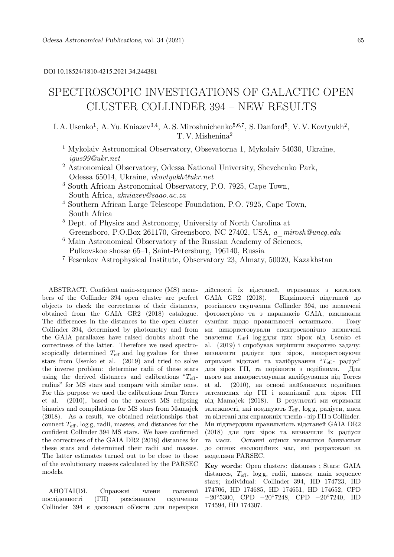# DOI 10.18524/1810-4215.2021.34.244381

# SPECTROSCOPIC INVESTIGATIONS OF GALACTIC OPEN CLUSTER COLLINDER 394 – NEW RESULTS

I. A. Usenko<sup>1</sup>, A. Yu. Kniazev<sup>3,4</sup>, A. S. Miroshnichenko<sup>5,6,7</sup>, S. Danford<sup>5</sup>, V. V. Kovtyukh<sup>2</sup>, T. V. Mishenina<sup>2</sup>

- <sup>1</sup> Mykolaiv Astronomical Observatory, Obsevatorna 1, Mykolaiv 54030, Ukraine, igus99@ukr.net
- <sup>2</sup> Astronomical Observatory, Odessa National University, Shevchenko Park, Odessa 65014, Ukraine, vkovtyukh@ukr.net
- <sup>3</sup> South African Astronomical Observatory, P.O. 7925, Cape Town, South Africa, akniazev@saao.ac.za
- <sup>4</sup> Southern African Large Telescope Foundation, P.O. 7925, Cape Town, South Africa
- <sup>5</sup> Dept. of Physics and Astronomy, University of North Carolina at Greensboro, P.O.Box 261170, Greensboro, NC 27402, USA, a\_mirosh@uncg.edu
- <sup>6</sup> Main Astronomical Observatory of the Russian Academy of Sciences, Pulkovskoe shosse 65–1, Saint-Petersburg, 196140, Russia
- <sup>7</sup> Fesenkov Astrophysical Institute, Observatory 23, Almaty, 50020, Kazakhstan

ABSTRACT. Confident main-sequence (MS) members of the Collinder 394 open cluster are perfect objects to check the correctness of their distances, obtained from the GAIA GR2 (2018) catalogue. The differences in the distances to the open cluster Collinder 394, determined by photometry and from the GAIA parallaxes have raised doubts about the correctness of the latter. Therefore we used spectroscopically determined  $T_{\text{eff}}$  and log gvalues for these stars from Usenko et al. (2019) and tried to solve the inverse problem: determine radii of these stars using the derived distances and calibrations " $T_{\text{eff}}$ radius" for MS stars and compare with similar ones. For this purpose we used the calibrations from Torres et al. (2010), based on the nearest MS eclipsing binaries and compilations for MS stars from Mamajek (2018). As a result, we obtained relationships that connect  $T_{\text{eff}}$ , log g, radii, masses, and distances for the confident Collinder 394 MS stars. We have confirmed the correctness of the GAIA DR2 (2018) distances for these stars and determined their radii and masses. The latter estimates turned out to be close to those of the evolutionary masses calculated by the PARSEC models.

АНОТАЦIЯ. Справжнi члени головної послiдовностi (ГП) розсiянного скупчення Collinder 394 є досконалi об'єкти для перевiрки дiйсностi їх вiдстаней, отриманих з каталога GAIA GR2 (2018). Вiдмiнностi вiдстаней до розсiяного скупчення Collinder 394, що визначенi фотометрiєю та з паралаксiв GAIA, викликали сумнiви щодо правильностi останнього. Тому ми використовували спектроскопiчно визначенi значення  $T_{\text{eff}}$  log gдля цих зiрок від Usenko et al. (2019) i спробував вирiшити зворотню задачу: визначити радiуси цих зiрок, використовуючи отриманi вiдстанi та калiбрування "Teff- радiус" для зiрок ГП, та порiвняти з подiбними. Для цього ми використовували калiбрування вiд Torres et al. (2010), на основi найближчих подвiйних затемнених зiр ГП i компiляцiї для зiрок ГП вiд Mamajek (2018). В результатi ми отримали залежності, які поєднують  $T_{\text{eff}}$ , log g, радіуси, маси та вiдстанi для справжнiх членiв - зiр ГП з Collinder. Ми пiдтвердили правильнiсть вiдстаней GAIA DR2 (2018) для цих зiрок та визначили їх радiуси та маси. Останнi оцiнки виявилися близькими до оцiнок еволюцiйних мас, якi розрахованi за моделями PARSEC.

Key words: Open clusters: distanses ; Stars: GAIA distances,  $T_{\text{eff}}$ , log g, radii, masses; main sequence stars; individual: Collinder 394, HD 174723, HD 174706, HD 174685, HD 174651, HD 174652, CPD −20◦5300, CPD −20◦7248, CPD −20◦7240, HD 174594, HD 174307.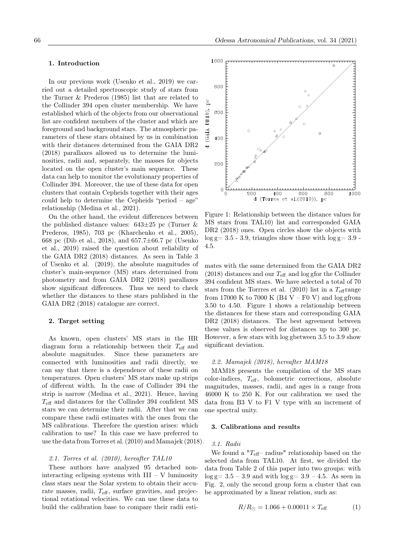# 1. Introduction

In our previous work (Usenko et al., 2019) we carried out a detailed spectroscopic study of stars from the Turner & Prederos (1985) list that are related to the Collinder 394 open cluster membership. We have established which of the objects from our observational list are confident members of the cluster and which are foreground and background stars. The atmospheric parameters of these stars obtained by us in combination with their distances determined from the GAIA DR2 (2018) parallaxes allowed us to determine the luminosities, radii and, separately, the masses for objects located on the open cluster's main sequence. These data can help to monitor the evolutionary properties of Collinder 394. Moreover, the use of these data for open clusters that contain Cepheids together with their ages could help to determine the Cepheids "period – age" relationship (Medina et al., 2021).

On the other hand, the evident differences between the published distance values:  $643\pm25$  pc (Turner & Prederos, 1985), 703 pc (Kharchenko et al., 2005), 668 pc (Dib et al., 2018), and 657.7±66.7 pc (Usenko et al., 2019) raised the question about reliability of the GAIA DR2 (2018) distances. As seen in Table 3 of Usenko et al. (2019), the absolute magnitudes of cluster's main-sequence (MS) stars determined from photometry and from GAIA DR2 (2018) parallaxes show significant differences. Thus we need to check whether the distances to these stars published in the GAIA DR2 (2018) catalogue are correct.

## 2. Target setting

As known, open clusters' MS stars in the HR diagram form a relationship between their  $T_{\text{eff}}$  and absolute magnitudes. Since these parameters are connected with luminosities and radii directly, we can say that there is a dependence of these radii on temperatures. Open clusters' MS stars make up strips of different width. In the case of Collinder 394 the strip is narrow (Medina et al., 2021). Hence, having  $T_{\text{eff}}$  and distances for the Collinder 394 confident MS stars we can determine their radii. After that we can compare these radii estimates with the ones from the MS calibrations. Therefore the question arises: which calibration to use? In this case we have preferred to use the data from Torres et al. (2010) and Mamajek (2018).

# 2.1. Torres et al. (2010), hereafter TAL10

These authors have analyzed 95 detached noninteracting eclipsing systems with  $III - V$  luminosity class stars near the Solar system to obtain their accurate masses, radii,  $T_{\text{eff}}$ , surface gravities, and projectional rotational velocities. We can use these data to build the calibration base to compare their radii esti-



Figure 1: Relationship between the distance values for MS stars from TAL10) list and corresponded GAIA DR2 (2018) ones. Open circles show the objects with  $\log g = 3.5 - 3.9$ , triangles show those with  $\log g = 3.9$ . 4.5.

mates with the same determined from the GAIA DR2  $(2018)$  distances and our  $T_{\text{eff}}$  and log gfor the Collinder 394 confident MS stars. We have selected a total of 70 stars from the Torrres et al.  $(2010)$  list in a  $T_{\text{eff}}$  range from 17000 K to 7000 K (B4 V – F0 V) and log gfrom 3.50 to 4.50. Figure 1 shows a relationship between the distances for these stars and corresponding GAIA DR2 (2018) distances. The best agreement between these values is observed for distances up to 300 pc. However, a few stars with log gbetween 3.5 to 3.9 show significant deviation.

#### 2.2. Mamajek (2018), hereafter MAM18

MAM18 presents the compilation of the MS stars  $color-indices, T<sub>eff</sub>, bolometric corrections, absolute$ magnitudes, masses, radii, and ages in a range from 46000 K to 250 K. For our calibration we used the data from B3 V to F1 V type with an increment of one spectral unity.

#### 3. Calibrations and results

#### 3.1. Radii

We found a " $T_{\text{eff}}$ -radius" relationship based on the selected data from TAL10. At first, we divided the data from Table 2 of this paper into two groups: with  $\log g = 3.5 - 3.9$  and with  $\log g = 3.9 - 4.5$ . As seen in Fig. 2, only the second group form a cluster that can be approximated by a linear relation, such as:

$$
R/R_{\odot} = 1.066 + 0.00011 \times T_{\text{eff}} \tag{1}
$$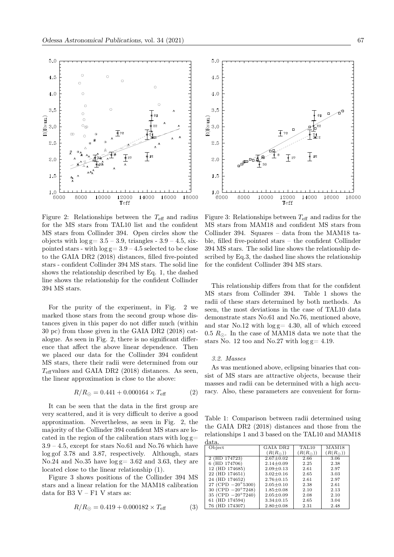

Figure 2: Relationships between the  $T_{\text{eff}}$  and radius for the MS stars from TAL10 list and the confident MS stars from Collinder 394. Open circles show the objects with  $log g = 3.5 - 3.9$ , triangles -  $3.9 - 4.5$ , sixpointed stars - with  $log g = 3.9 - 4.5$  selected to be close to the GAIA DR2 (2018) distances, filled five-pointed stars - confident Collinder 394 MS stars. The solid line shows the relationship described by Eq. 1, the dashed line shows the relationship for the confident Collinder 394 MS stars.

For the purity of the experiment, in Fig. 2 we marked those stars from the second group whose distances given in this paper do not differ much (within 30 pc) from those given in the GAIA DR2 (2018) catalogue. As seen in Fig. 2, there is no significant difference that affect the above linear dependence. Then we placed our data for the Collinder 394 confident MS stars, there their radii were determined from our  $T_{\text{eff}}$  values and GAIA DR2 (2018) distances. As seen, the linear approximation is close to the above:

$$
R/R_{\odot} = 0.441 + 0.000164 \times T_{\text{eff}} \tag{2}
$$

It can be seen that the data in the first group are very scattered, and it is very difficult to derive a good approximation. Nevertheless, as seen in Fig. 2, the majority of the Collinder 394 confident MS stars are located in the region of the calibration stars with  $log g=$  $3.9 - 4.5$ , except for stars No.61 and No.76 which have log gof 3.78 and 3.87, respectively. Although, stars No.24 and No.35 have  $log g = 3.62$  and 3.63, they are located close to the linear relationship (1).

Figure 3 shows positions of the Collinder 394 MS stars and a linear relation for the MAM18 calibration data for B3  $V - F1$  V stars as:

$$
R/R_{\odot} = 0.419 + 0.000182 \times T_{\text{eff}} \tag{3}
$$



Figure 3: Relationships between  $T_{\text{eff}}$  and radius for the MS stars from MAM18 and confident MS stars from Collinder 394. Squares – data from the MAM18 table, filled five-pointed stars – the confident Collinder 394 MS stars. The solid line shows the relationship described by Eq.3, the dashed line shows the relationship for the confident Collinder 394 MS stars.

This relationship differs from that for the confident MS stars from Collinder 394. Table 1 shows the radii of these stars determined by both methods. As seen, the most deviations in the case of TAL10 data demonstrate stars No.61 and No.76, mentioned above, and star No.12 with  $log g = 4.30$ , all of which exceed 0.5  $R_{\odot}$ . In the case of MAM18 data we note that the stars No. 12 too and No.27 with  $log g = 4.19$ .

#### 3.2. Masses

As was mentioned above, eclipsing binaries that consist of MS stars are attractive objects, because their masses and radii can be determined with a high accuracy. Also, these parameters are convenient for form-

Table 1: Comparison between radii determined using the GAIA DR2 (2018) distances and those from the relationships 1 and 3 based on the TAL10 and MAM18 data.

| .                           |                               |                  |                  |
|-----------------------------|-------------------------------|------------------|------------------|
| Object                      | TAL <sub>10</sub><br>GAIA DR2 |                  | MAM18            |
|                             | $(R(R_{\odot}))$              | $(R(R_{\odot}))$ | $(R(R_{\odot}))$ |
| 2 (HD 174723)               | $2.67 \pm 0.02$               | 2.66             | 3.06             |
| (HD 174706)                 | $2.14 \pm 0.09$               | 2.25             | 2.38             |
| 12 (HD 174685)              | $2.09 \pm 0.13$               | 2.61             | 2.97             |
| 22 (HD 174651)              | $3.02 \pm 0.16$               | 2.65             | 3.03             |
| 24 (HD 174652)              | $2.76 \pm 0.15$               | 2.61             | 2.97             |
| 27 (CPD $-20^{\circ}5300$ ) | $2.05 \pm 0.10$               | 2.38             | 2.61             |
| 30 (CPD $-20^{\circ}7248$ ) | $1.85 \pm 0.08$               | 2.10             | 2.13             |
| 35 (CPD $-20^{\circ}7240$ ) | $2.05 \pm 0.09$               | 2.08             | 2.10             |
| 61 (HD 174594)              | $3.34 \pm 0.15$               | 2.65             | 3.04             |
| 76 (HD 174307)              | $2.80 \pm 0.08$               | 2.31             | 2.48             |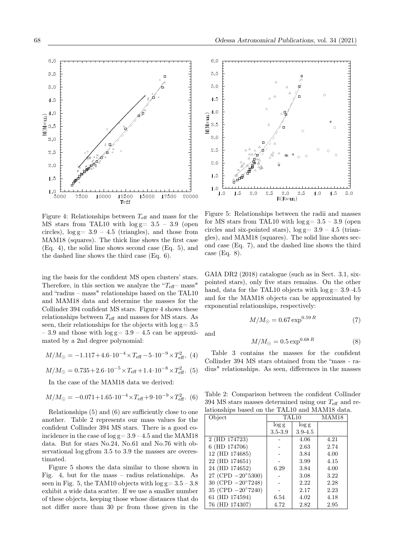Figure 4: Relationships between  $T_{\text{eff}}$  and mass for the MS stars from TAL10 with  $log g = 3.5 - 3.9$  (open circles),  $log g = 3.9 - 4.5$  (triangles), and those from MAM18 (squares). The thick line shows the first case (Eq. 4), the solid line shows second case (Eq. 5), and the dashed line shows the third case (Eq. 6).

ing the basis for the confident MS open clusters' stars. Therefore, in this section we analyze the " $T_{\text{eff}}$ - mass" and "radius – mass" relationships based on the TAL10 and MAM18 data and determine the masses for the Collinder 394 confident MS stars. Figure 4 shows these relationships between  $T_{\text{eff}}$  and masses for MS stars. As seen, their relationships for the objects with  $log g = 3.5$  $-3.9$  and those with  $log g = 3.9 - 4.5$  can be approximated by a 2nd degree polynomial:

$$
M/M_{\odot} = -1.117 + 4.6 \cdot 10^{-4} \times T_{\text{eff}} - 5 \cdot 10^{-9} \times T_{\text{eff}}^2, (4)
$$

$$
M/M_{\odot} = 0.735 + 2.6 \cdot 10^{-5} \times T_{\text{eff}} + 1.4 \cdot 10^{-8} \times T_{\text{eff}}^2.
$$
 (5)

In the case of the MAM18 data we derived:

$$
M/M_{\odot} = -0.071 + 1.65 \cdot 10^{-4} \times T_{\text{eff}} + 9 \cdot 10^{-9} \times T_{\text{eff}}^2.
$$
 (6)

Relationships (5) and (6) are sufficiently close to one another. Table 2 represents our mass values for the confident Collinder 394 MS stars. There is a good coincidence in the case of  $log g = 3.9 - 4.5$  and the MAM18 data. But for stars No.24, No.61 and No.76 with observational log gfrom 3.5 to 3.9 the masses are overestimated.

Figure 5 shows the data similar to those shown in Fig. 4, but for the mass – radius relationships. As seen in Fig. 5, the TAM10 objects with  $log g = 3.5 - 3.8$ exhibit a wide data scatter. If we use a smaller number of these objects, keeping those whose distances that do not differ more than 30 pc from those given in the



 $3.0$ 

 $R(Rsun)$ 

3.5

 $4.0$ 

 $4.5$ 

 $5.0$ 

GAIA DR2 (2018) catalogue (such as in Sect. 3.1, sixpointed stars), only five stars remains. On the other hand, data for the TAL10 objects with  $log g = 3.9 - 4.5$ and for the MAM18 objects can be approximated by exponential relationships, respectively:

$$
M/M_{\odot} = 0.67 \exp^{0.59 R} \tag{7}
$$

and

 $6.0$ 

5.5

 $5.0$  $4.5$ 

 $4.0$ 

 $3.0$ 

 $2.5$ 

 $2.0$ 

1.5

 $1.0$ 

 $1.0$ 

 $1.5$ 

 $2.0$ 

2.5

 $\begin{array}{c}\n4.0 \\
\begin{array}{c}\n\text{15.3} \\
\text{M} \\
\text{M} \\
\text{M} \\
\text{M} \\
\text{M} \\
\text{M} \\
\text{M} \\
\text{M} \\
\text{M} \\
\text{M} \\
\text{M} \\
\text{M} \\
\text{M} \\
\text{M} \\
\text{M} \\
\text{M} \\
\text{M} \\
\text{M} \\
\text{M} \\
\text{M} \\
\text{M} \\
\text{M} \\
\text{M} \\
\text{M} \\
\text{M} \\
\text{M} \\
\text{M} \\
\text{M} \\
\text{M} \\
\text{M} \\
\text{M} \\
\text{M}$ 

$$
M/M_{\odot} = 0.5 \exp^{0.68 R} \tag{8}
$$

Table 3 contains the masses for the confident Collinder 394 MS stars obtained from the "mass - radius" relationships. As seen, differences in the masses

Table 2: Comparison between the confident Collinder 394 MS stars masses determined using our  $T_{\text{eff}}$  and relationships based on the TAL10 and MAM18 data.

| Object                      | TAL <sub>10</sub>    |             | MAM18 |
|-----------------------------|----------------------|-------------|-------|
|                             | $\log g$<br>$\log g$ |             |       |
|                             | $3.5 - 3.9$          | $3.9 - 4.5$ |       |
| 2 (HD 174723)               |                      | 4.06        | 4.21  |
| 6 (HD 174706)               |                      | 2.63        | 2.74  |
| 12 (HD 174685)              |                      | 3.84        | 4.00  |
| 22 (HD 174651)              |                      | 3.99        | 4.15  |
| 24 (HD 174652)              | 6.29                 | 3.84        | 4.00  |
| 27 (CPD $-20^{\circ}5300$ ) |                      | 3.08        | 3.22  |
| 30 (CPD $-20^{\circ}7248$ ) |                      | 2.22        | 2.28  |
| 35 (CPD $-20^{\circ}7240$ ) |                      | 2.17        | 2.23  |
| 61 (HD 174594)              | 6.54                 | 4.02        | 4.18  |
| 76 (HD 174307)              | 4.72                 | 2.82        | 2.95  |